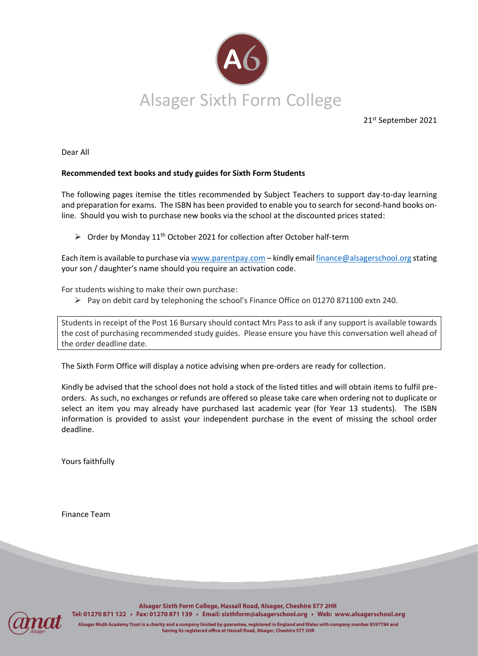

21st September 2021

Dear All

## **Recommended text books and study guides for Sixth Form Students**

The following pages itemise the titles recommended by Subject Teachers to support day-to-day learning and preparation for exams. The ISBN has been provided to enable you to search for second-hand books online. Should you wish to purchase new books via the school at the discounted prices stated:

 $\triangleright$  Order by Monday 11<sup>th</sup> October 2021 for collection after October half-term

Each item is available to purchase vi[a www.parentpay.com](http://www.parentpay.com/) - kindly emai[l finance@alsagerschool.org](mailto:finance@alsagerschool.org) stating your son / daughter's name should you require an activation code.

For students wishing to make their own purchase:

➢ Pay on debit card by telephoning the school's Finance Office on 01270 871100 extn 240.

Students in receipt of the Post 16 Bursary should contact Mrs Pass to ask if any support is available towards the cost of purchasing recommended study guides. Please ensure you have this conversation well ahead of the order deadline date.

The Sixth Form Office will display a notice advising when pre-orders are ready for collection.

Kindly be advised that the school does not hold a stock of the listed titles and will obtain items to fulfil preorders. As such, no exchanges or refunds are offered so please take care when ordering not to duplicate or select an item you may already have purchased last academic year (for Year 13 students). The ISBN information is provided to assist your independent purchase in the event of missing the school order deadline.

Yours faithfully

Finance Team



Alsager Sixth Form College, Hassall Road, Alsager, Cheshire ST7 2HR Tel: 01270 871 122 · Fax: 01270 871 139 · Email: sixthform@alsagerschool.org · Web: www.alsagerschool.org

Alsager Multi Academy Trust is a charity and a company limited by guarantee, registered in England and Wales with company number 8597784 and having its registered office at Hassall Road, Alsager, Cheshire ST7 2HR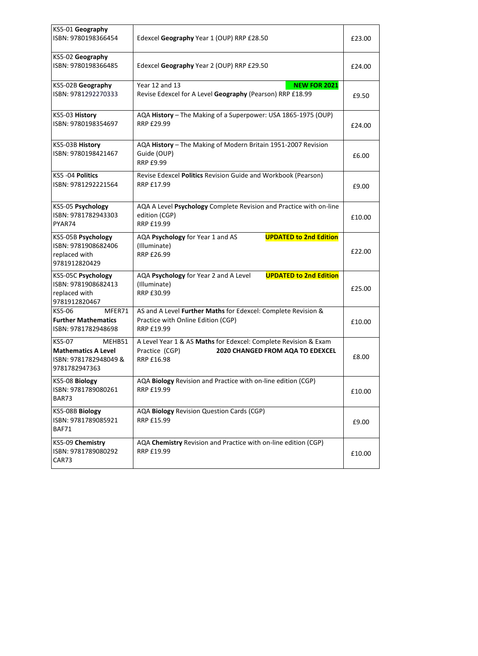| KS5-01 Geography<br>ISBN: 9780198366454                                                  | Edexcel Geography Year 1 (OUP) RRP £28.50                                                                                           | £23.00 |
|------------------------------------------------------------------------------------------|-------------------------------------------------------------------------------------------------------------------------------------|--------|
| KS5-02 Geography<br>ISBN: 9780198366485                                                  | Edexcel Geography Year 2 (OUP) RRP £29.50                                                                                           | £24.00 |
| KS5-02B Geography<br>ISBN: 9781292270333                                                 | Year 12 and 13<br><b>NEW FOR 2021</b><br>Revise Edexcel for A Level Geography (Pearson) RRP £18.99                                  | £9.50  |
| KS5-03 History<br>ISBN: 9780198354697                                                    | AQA History - The Making of a Superpower: USA 1865-1975 (OUP)<br>RRP £29.99                                                         | £24.00 |
| KS5-03B History<br>ISBN: 9780198421467                                                   | AQA History - The Making of Modern Britain 1951-2007 Revision<br>Guide (OUP)<br>RRP £9.99                                           | £6.00  |
| KS5 -04 Politics<br>ISBN: 9781292221564                                                  | Revise Edexcel Politics Revision Guide and Workbook (Pearson)<br>RRP £17.99                                                         | £9.00  |
| KS5-05 Psychology<br>ISBN: 9781782943303<br>PYAR74                                       | AQA A Level Psychology Complete Revision and Practice with on-line<br>edition (CGP)<br>RRP £19.99                                   | £10.00 |
| KS5-05B Psychology<br>ISBN: 9781908682406<br>replaced with<br>9781912820429              | <b>UPDATED to 2nd Edition</b><br>AQA Psychology for Year 1 and AS<br>(Illuminate)<br>RRP £26.99                                     | £22.00 |
| KS5-05C Psychology<br>ISBN: 9781908682413<br>replaced with<br>9781912820467              | AQA Psychology for Year 2 and A Level<br><b>UPDATED to 2nd Edition</b><br>(Illuminate)<br>RRP £30.99                                | £25.00 |
| KS5-06<br>MFER71<br><b>Further Mathematics</b><br>ISBN: 9781782948698                    | AS and A Level Further Maths for Edexcel: Complete Revision &<br>Practice with Online Edition (CGP)<br>RRP £19.99                   | £10.00 |
| KS5-07<br>MEHB51<br><b>Mathematics A Level</b><br>ISBN: 9781782948049 &<br>9781782947363 | A Level Year 1 & AS Maths for Edexcel: Complete Revision & Exam<br>2020 CHANGED FROM AQA TO EDEXCEL<br>Practice (CGP)<br>RRP £16.98 | £8.00  |
| KS5-08 Biology<br>ISBN: 9781789080261<br>BAR73                                           | AQA Biology Revision and Practice with on-line edition (CGP)<br>RRP £19.99                                                          | £10.00 |
| KS5-08B Biology<br>ISBN: 9781789085921<br>BAF71                                          | AQA Biology Revision Question Cards (CGP)<br>RRP £15.99                                                                             | £9.00  |
| KS5-09 Chemistry<br>ISBN: 9781789080292<br>CAR73                                         | AQA Chemistry Revision and Practice with on-line edition (CGP)<br>RRP £19.99                                                        | £10.00 |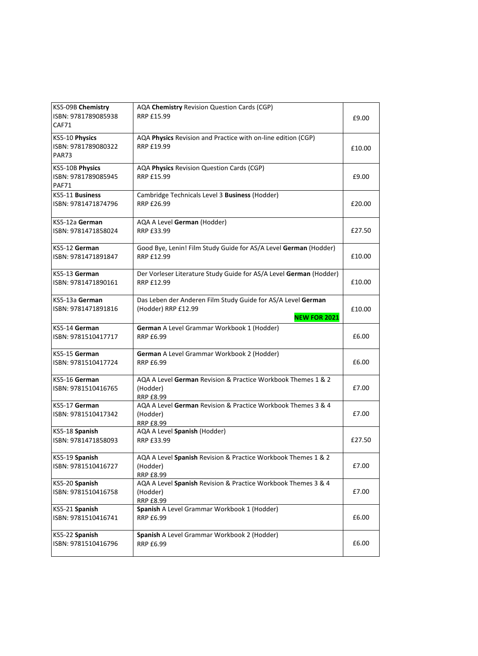| KS5-09B Chemistry<br>ISBN: 9781789085938<br>CAF71     | AQA Chemistry Revision Question Cards (CGP)<br><b>RRP £15.99</b>                                           | £9.00  |
|-------------------------------------------------------|------------------------------------------------------------------------------------------------------------|--------|
| KS5-10 Physics<br>ISBN: 9781789080322<br><b>PAR73</b> | AQA Physics Revision and Practice with on-line edition (CGP)<br>RRP £19.99                                 | £10.00 |
| KS5-10B Physics<br>ISBN: 9781789085945<br>PAF71       | AQA Physics Revision Question Cards (CGP)<br><b>RRP £15.99</b>                                             | £9.00  |
| KS5-11 Business<br>ISBN: 9781471874796                | Cambridge Technicals Level 3 Business (Hodder)<br><b>RRP £26.99</b>                                        | £20.00 |
| KS5-12a German<br>ISBN: 9781471858024                 | AQA A Level German (Hodder)<br>RRP £33.99                                                                  | £27.50 |
| KS5-12 German<br>ISBN: 9781471891847                  | Good Bye, Lenin! Film Study Guide for AS/A Level German (Hodder)<br><b>RRP £12.99</b>                      | £10.00 |
| KS5-13 German<br>ISBN: 9781471890161                  | Der Vorleser Literature Study Guide for AS/A Level German (Hodder)<br>RRP £12.99                           | £10.00 |
| KS5-13a German<br>ISBN: 9781471891816                 | Das Leben der Anderen Film Study Guide for AS/A Level German<br>(Hodder) RRP £12.99<br><b>NEW FOR 2021</b> | £10.00 |
| KS5-14 German<br>ISBN: 9781510417717                  | German A Level Grammar Workbook 1 (Hodder)<br><b>RRP £6.99</b>                                             | £6.00  |
| KS5-15 German<br>ISBN: 9781510417724                  | German A Level Grammar Workbook 2 (Hodder)<br><b>RRP £6.99</b>                                             | £6.00  |
| KS5-16 German<br>ISBN: 9781510416765                  | AQA A Level German Revision & Practice Workbook Themes 1 & 2<br>(Hodder)<br><b>RRP £8.99</b>               | £7.00  |
| KS5-17 German<br>ISBN: 9781510417342                  | AQA A Level German Revision & Practice Workbook Themes 3 & 4<br>(Hodder)<br><b>RRP £8.99</b>               | £7.00  |
| KS5-18 Spanish<br>ISBN: 9781471858093                 | AQA A Level Spanish (Hodder)<br>RRP £33.99                                                                 | £27.50 |
| KS5-19 Spanish<br>ISBN: 9781510416727                 | AQA A Level Spanish Revision & Practice Workbook Themes 1 & 2<br>(Hodder)<br><b>RRP £8.99</b>              | £7.00  |
| KS5-20 Spanish<br>ISBN: 9781510416758                 | AQA A Level Spanish Revision & Practice Workbook Themes 3 & 4<br>(Hodder)<br><b>RRP £8.99</b>              | £7.00  |
| KS5-21 Spanish<br>ISBN: 9781510416741                 | Spanish A Level Grammar Workbook 1 (Hodder)<br><b>RRP £6.99</b>                                            | £6.00  |
| KS5-22 Spanish<br>ISBN: 9781510416796                 | Spanish A Level Grammar Workbook 2 (Hodder)<br><b>RRP £6.99</b>                                            | £6.00  |